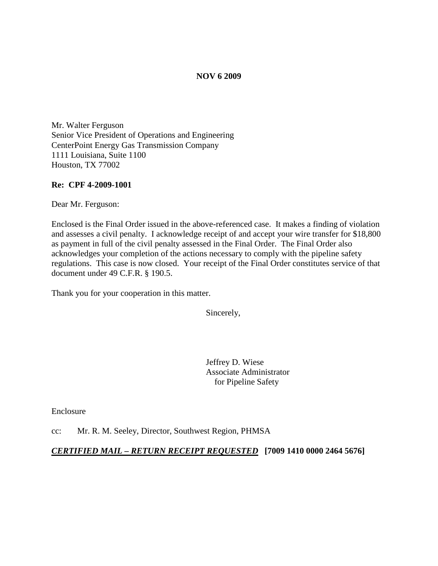### **NOV 6 2009**

Mr. Walter Ferguson Senior Vice President of Operations and Engineering CenterPoint Energy Gas Transmission Company 1111 Louisiana, Suite 1100 Houston, TX 77002

### **Re: CPF 4-2009-1001**

Dear Mr. Ferguson:

Enclosed is the Final Order issued in the above-referenced case. It makes a finding of violation and assesses a civil penalty. I acknowledge receipt of and accept your wire transfer for \$18,800 as payment in full of the civil penalty assessed in the Final Order. The Final Order also acknowledges your completion of the actions necessary to comply with the pipeline safety regulations. This case is now closed. Your receipt of the Final Order constitutes service of that document under 49 C.F.R. § 190.5.

Thank you for your cooperation in this matter.

Sincerely,

Jeffrey D. Wiese Associate Administrator for Pipeline Safety

Enclosure

cc: Mr. R. M. Seeley, Director, Southwest Region, PHMSA

### *CERTIFIED MAIL – RETURN RECEIPT REQUESTED* **[7009 1410 0000 2464 5676]**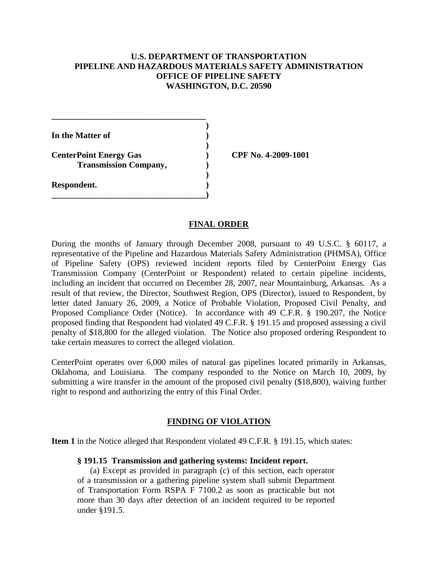# **U.S. DEPARTMENT OF TRANSPORTATION PIPELINE AND HAZARDOUS MATERIALS SAFETY ADMINISTRATION OFFICE OF PIPELINE SAFETY WASHINGTON, D.C. 20590**

**) In the Matter of ) ) CenterPoint Energy Gas ) CPF No. 4-2009-1001 Transmission Company, ) ) Respondent. ) \_\_\_\_\_\_\_\_\_\_\_\_\_\_\_\_\_\_\_\_\_\_\_\_\_\_\_\_\_\_\_\_\_\_\_\_)**

**\_\_\_\_\_\_\_\_\_\_\_\_\_\_\_\_\_\_\_\_\_\_\_\_\_\_\_\_\_\_\_\_\_\_\_\_**

### **FINAL ORDER**

During the months of January through December 2008, pursuant to 49 U.S.C. § 60117, a representative of the Pipeline and Hazardous Materials Safety Administration (PHMSA), Office of Pipeline Safety (OPS) reviewed incident reports filed by CenterPoint Energy Gas Transmission Company (CenterPoint or Respondent) related to certain pipeline incidents, including an incident that occurred on December 28, 2007, near Mountainburg, Arkansas. As a result of that review, the Director, Southwest Region, OPS (Director), issued to Respondent, by letter dated January 26, 2009, a Notice of Probable Violation, Proposed Civil Penalty, and Proposed Compliance Order (Notice). In accordance with 49 C.F.R. § 190.207, the Notice proposed finding that Respondent had violated 49 C.F.R. § 191.15 and proposed assessing a civil penalty of \$18,800 for the alleged violation. The Notice also proposed ordering Respondent to take certain measures to correct the alleged violation.

CenterPoint operates over 6,000 miles of natural gas pipelines located primarily in Arkansas, Oklahoma, and Louisiana. The company responded to the Notice on March 10, 2009, by submitting a wire transfer in the amount of the proposed civil penalty (\$18,800), waiving further right to respond and authorizing the entry of this Final Order.

# **FINDING OF VIOLATION**

**Item 1** in the Notice alleged that Respondent violated 49 C.F.R. § 191.15, which states:

### **§ 191.15 Transmission and gathering systems: Incident report.**

(a) Except as provided in paragraph (c) of this section, each operator of a transmission or a gathering pipeline system shall submit Department of Transportation Form RSPA F 7100.2 as soon as practicable but not more than 30 days after detection of an incident required to be reported under §191.5.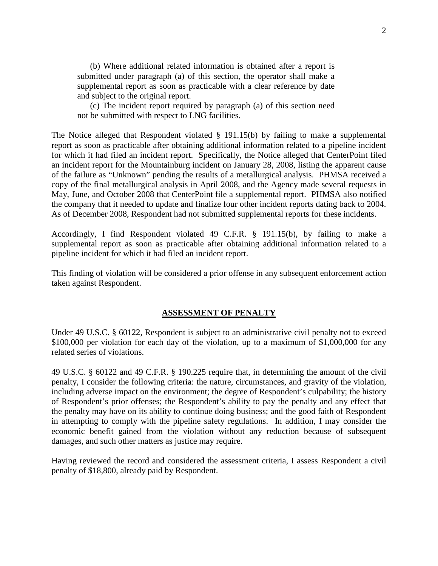(b) Where additional related information is obtained after a report is submitted under paragraph (a) of this section, the operator shall make a supplemental report as soon as practicable with a clear reference by date and subject to the original report.

(c) The incident report required by paragraph (a) of this section need not be submitted with respect to LNG facilities.

The Notice alleged that Respondent violated § 191.15(b) by failing to make a supplemental report as soon as practicable after obtaining additional information related to a pipeline incident for which it had filed an incident report. Specifically, the Notice alleged that CenterPoint filed an incident report for the Mountainburg incident on January 28, 2008, listing the apparent cause of the failure as "Unknown" pending the results of a metallurgical analysis. PHMSA received a copy of the final metallurgical analysis in April 2008, and the Agency made several requests in May, June, and October 2008 that CenterPoint file a supplemental report. PHMSA also notified the company that it needed to update and finalize four other incident reports dating back to 2004. As of December 2008, Respondent had not submitted supplemental reports for these incidents.

Accordingly, I find Respondent violated 49 C.F.R. § 191.15(b), by failing to make a supplemental report as soon as practicable after obtaining additional information related to a pipeline incident for which it had filed an incident report.

This finding of violation will be considered a prior offense in any subsequent enforcement action taken against Respondent.

# **ASSESSMENT OF PENALTY**

Under 49 U.S.C. § 60122, Respondent is subject to an administrative civil penalty not to exceed \$100,000 per violation for each day of the violation, up to a maximum of \$1,000,000 for any related series of violations.

49 U.S.C. § 60122 and 49 C.F.R. § 190.225 require that, in determining the amount of the civil penalty, I consider the following criteria: the nature, circumstances, and gravity of the violation, including adverse impact on the environment; the degree of Respondent's culpability; the history of Respondent's prior offenses; the Respondent's ability to pay the penalty and any effect that the penalty may have on its ability to continue doing business; and the good faith of Respondent in attempting to comply with the pipeline safety regulations. In addition, I may consider the economic benefit gained from the violation without any reduction because of subsequent damages, and such other matters as justice may require.

Having reviewed the record and considered the assessment criteria, I assess Respondent a civil penalty of \$18,800, already paid by Respondent.